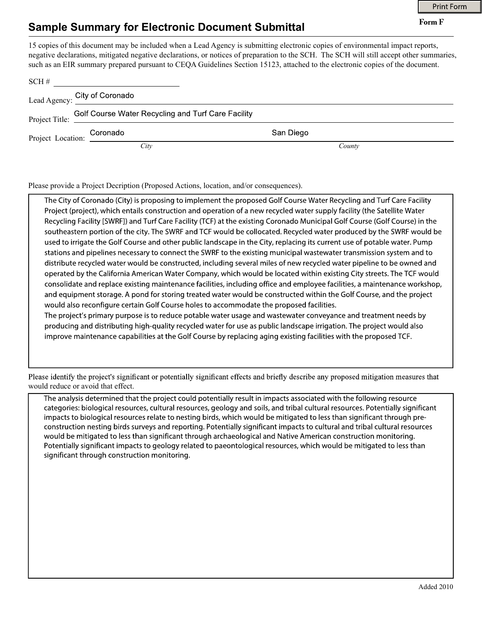Form F

## Sample Summary for Electronic Document Submittal

15 copies of this document may be included when a Lead Agency is submitting electronic copies of environmental impact reports, negative declarations, mitigated negative declarations, or notices of preparation to the SCH. The SCH will still accept other summaries, such as an EIR summary prepared pursuant to CEQA Guidelines Section 15123, attached to the electronic copies of the document.

| SCH# |                                                                       |           |
|------|-----------------------------------------------------------------------|-----------|
|      | Lead Agency: City of Coronado<br>Lead Agency: <u>City of Coronado</u> |           |
|      | Project Title: Golf Course Water Recycling and Turf Care Facility     |           |
|      | Coronado                                                              | San Diego |
|      | City                                                                  | County    |

Please provide a Project Decription (Proposed Actions, location, and/or consequences).

The City of Coronado (City) is proposing to implement the proposed Golf Course Water Recycling and Turf Care Facility Project (project), which entails construction and operation of a new recycled water supply facility (the Satellite Water Recycling Facility [SWRF]) and Turf Care Facility (TCF) at the existing Coronado Municipal Golf Course (Golf Course) in the southeastern portion of the city. The SWRF and TCF would be collocated. Recycled water produced by the SWRF would be used to irrigate the Golf Course and other public landscape in the City, replacing its current use of potable water. Pump stations and pipelines necessary to connect the SWRF to the existing municipal wastewater transmission system and to distribute recycled water would be constructed, including several miles of new recycled water pipeline to be owned and operated by the California American Water Company, which would be located within existing City streets. The TCF would consolidate and replace existing maintenance facilities, including office and employee facilities, a maintenance workshop, and equipment storage. A pond for storing treated water would be constructed within the Golf Course, and the project would also reconfigure certain Golf Course holes to accommodate the proposed facilities.

The project's primary purpose is to reduce potable water usage and wastewater conveyance and treatment needs by producing and distributing high-quality recycled water for use as public landscape irrigation. The project would also improve maintenance capabilities at the Golf Course by replacing aging existing facilities with the proposed TCF.

would reduce or avoid that effect. Please identify the project's significant or potentially significant effects and briefly describe any proposed mitigation measures that

The analysis determined that the project could potentially result in impacts associated with the following resource categories: biological resources, cultural resources, geology and soils, and tribal cultural resources. Potentially significant impacts to biological resources relate to nesting birds, which would be mitigated to less than significant through preconstruction nesting birds surveys and reporting. Potentially significant impacts to cultural and tribal cultural resources would be mitigated to less than significant through archaeological and Native American construction monitoring. Potentially significant impacts to geology related to paeontological resources, which would be mitigated to less than significant through construction monitoring.